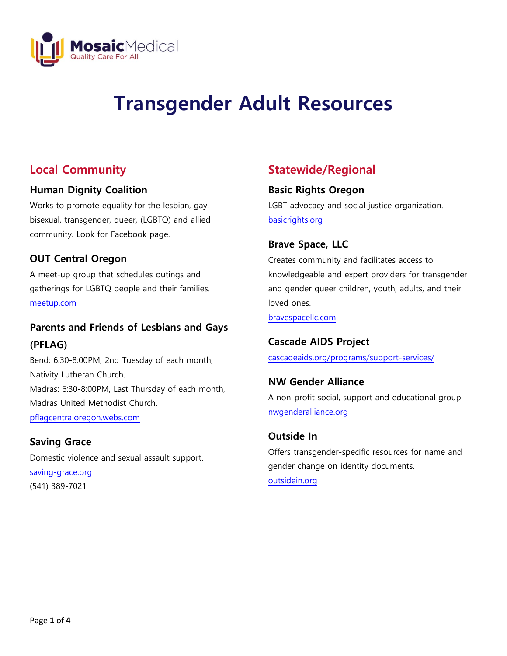

# **Transgender Adult Resources**

# **Local Community**

### **Human Dignity Coalition**

Works to promote equality for the lesbian, gay, bisexual, transgender, queer, (LGBTQ) and allied community. Look for Facebook page.

### **OUT Central Oregon**

A meet-up group that schedules outings and gatherings for LGBTQ people and their families. [meetup.com](http://www.meetup.com/)

## **Parents and Friends of Lesbians and Gays (PFLAG)**

Bend: 6:30-8:00PM, 2nd Tuesday of each month, Nativity Lutheran Church. Madras: 6:30-8:00PM, Last Thursday of each month, Madras United Methodist Church. [pflagcentraloregon.webs.com](http://www.pflagcentraloregon.webs.com/)

### **Saving Grace**

Domestic violence and sexual assault support.

[saving-grace.org](http://www.saving-grace.org/)  (541) 389-7021

## **Statewide/Regional**

### **Basic Rights Oregon**

LGBT advocacy and social justice organization. [basicrights.org](http://www.basicrights.org/)

### **Brave Space, LLC**

Creates community and facilitates access to knowledgeable and expert providers for transgender and gender queer children, youth, adults, and their loved ones.

[bravespacellc.com](http://www.bravespacellc.com/)

### **Cascade AIDS Project**

[cascadeaids.org/programs/support-services/](http://www.cascadeaids.org/programs/support-services/)

### **NW Gender Alliance**

A non-profit social, support and educational group. [nwgenderalliance.org](http://www.nwgenderalliance.org/)

### **Outside In**

Offers transgender-specific resources for name and gender change on identity documents. [outsidein.org](http://www.outsidein.org/)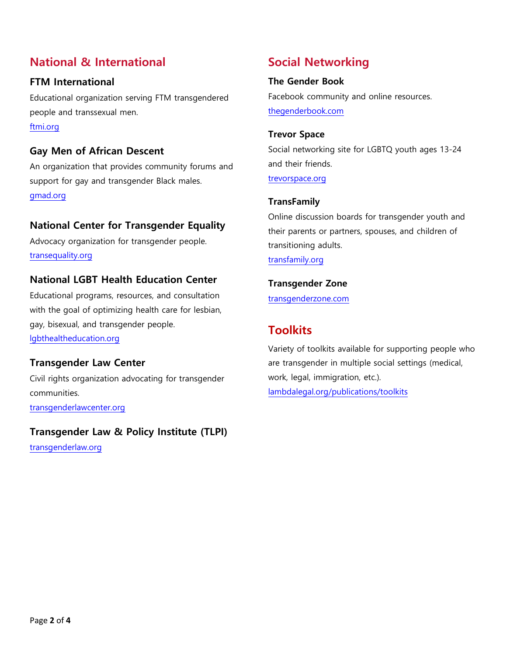## **National & International**

### **FTM International**  Educational organization serving FTM transgendered

people and transsexual men. [ftmi.org](http://www.ftmi.org/)

## **Gay Men of African Descent**

An organization that provides community forums and support for gay and transgender Black males. [gmad.org](http://www.gmad.org/)

## **National Center for Transgender Equality**

Advocacy organization for transgender people. [transequality.org](http://www.transequality.org/)

## **National LGBT Health Education Center**

Educational programs, resources, and consultation with the goal of optimizing health care for lesbian, gay, bisexual, and transgender people. [lgbthealtheducation.org](http://www.lgbthealtheducation.org/)

## **Transgender Law Center**

Civil rights organization advocating for transgender communities. [transgenderlawcenter.org](http://transgenderlawcenter.org/)

# **Transgender Law & Policy Institute (TLPI)**

[transgenderlaw.org](http://www.transgenderlaw.org/)

# **Social Networking**

### **The Gender Book**

Facebook community and online resources. [thegenderbook.com](http://www.thegenderbook.com/)

# **Trevor Space**

Social networking site for LGBTQ youth ages 13-24 and their friends.

trevorspace.org

### **TransFamily**

Online discussion boards for transgender youth and their parents or partners, spouses, and children of transitioning adults.

transfamily.org

### **[Transgender](http://www.transgenderzone.com/) Zone**

[transgenderzone.com](http://www.transgenderzone.com/)

## **Toolkits**

Variety of toolkits available for supporting people who are transgender in multiple social settings (medical, work, legal, immigration, etc.). [lambdalegal.org/publications/toolkits](https://www.lambdalegal.org/publications/toolkits)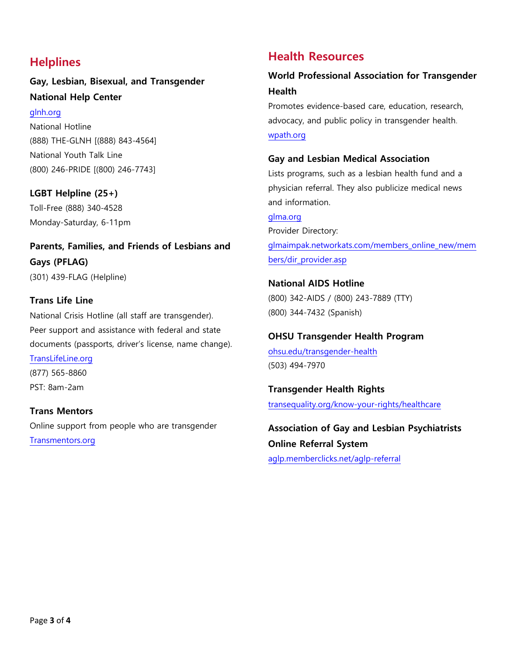## **Helplines**

## **Gay, Lesbian, Bisexual, and Transgender National Help Center**

#### [glnh.org](http://www.glnh.org/)

National Hotline (888) THE-GLNH [(888) 843-4564] National Youth Talk Line (800) 246-PRIDE [(800) 246-7743]

### **LGBT Helpline (25+)**

Toll-Free (888) 340-4528 Monday-Saturday, 6-11pm

## **Parents, Families, and Friends of Lesbians and Gays (PFLAG)** (301) 439-FLAG (Helpline)

### **Trans Life Line**

National Crisis Hotline (all staff are transgender). Peer support and assistance with federal and state documents (passports, driver's license, name change).

### [TransLifeLine.org](http://www.translifeline.org/)

(877) 565-8860 PST: 8am-2am

### **Trans Mentors**

Online support from people who are transgender [Transmentors.org](http://www.transmentors.org/) 

## **Health Resources**

### **World Professional Association for Transgender Health**

Promotes evidence-based care, education, research, advocacy, and public policy in transgender health. [wpath.org](http://www.wpath.org/)

### **Gay and Lesbian Medical Association**

Lists programs, such as a lesbian health fund and a physician referral. They also publicize medical news and information.

[glma.org](http://www.glma.org/index.cfm?nodeid=1) Provider [Directory:](http://www.glma.org/index.cfm?fuseaction=Page.viewPage&pageId=939&grandparentID=534&parentID=938) [glmaimpak.networkats.com/members\\_online\\_new/mem](https://glmaimpak.networkats.com/members_online_new/members/dir_provider.asp) [bers/dir\\_provider.asp](https://glmaimpak.networkats.com/members_online_new/members/dir_provider.asp) 

### **National AIDS Hotline**  (800) 342-AIDS / (800) 243-7889 (TTY) (800) 344-7432 (Spanish)

# **OHSU Transgender Health Program**

[ohsu.edu/transgender-health](https://www.ohsu.edu/transgender-health) (503) 494-7970

**Transgender Health Rights** [transequality.org/know-your-rights/healthcare](http://www.transequality.org/know-your-rights/healthcare)

**Association [of Gay and Lesbian Psychiatrists](http://aglp.memberclicks.net/aglp-referral)  [Online Referral System](http://aglp.memberclicks.net/aglp-referral)** [aglp.memberclicks.net/aglp-referral](https://aglp.memberclicks.net/aglp-referral)